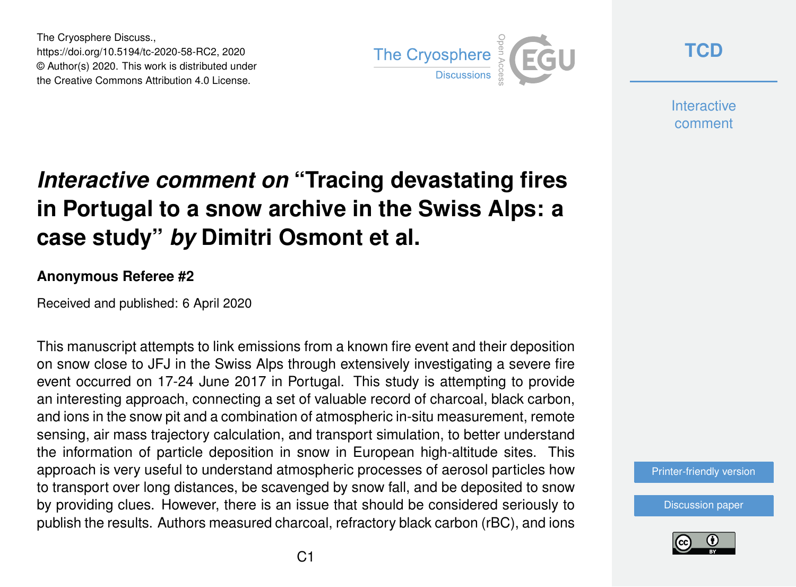The Cryosphere Discuss., https://doi.org/10.5194/tc-2020-58-RC2, 2020 © Author(s) 2020. This work is distributed under the Creative Commons Attribution 4.0 License.



**[TCD](https://www.the-cryosphere-discuss.net/)**

**Interactive** comment

## *Interactive comment on* **"Tracing devastating fires in Portugal to a snow archive in the Swiss Alps: a case study"** *by* **Dimitri Osmont et al.**

## **Anonymous Referee #2**

Received and published: 6 April 2020

This manuscript attempts to link emissions from a known fire event and their deposition on snow close to JFJ in the Swiss Alps through extensively investigating a severe fire event occurred on 17-24 June 2017 in Portugal. This study is attempting to provide an interesting approach, connecting a set of valuable record of charcoal, black carbon, and ions in the snow pit and a combination of atmospheric in-situ measurement, remote sensing, air mass trajectory calculation, and transport simulation, to better understand the information of particle deposition in snow in European high-altitude sites. This approach is very useful to understand atmospheric processes of aerosol particles how to transport over long distances, be scavenged by snow fall, and be deposited to snow by providing clues. However, there is an issue that should be considered seriously to publish the results. Authors measured charcoal, refractory black carbon (rBC), and ions

[Printer-friendly version](https://www.the-cryosphere-discuss.net/tc-2020-58/tc-2020-58-RC2-print.pdf)

[Discussion paper](https://www.the-cryosphere-discuss.net/tc-2020-58)

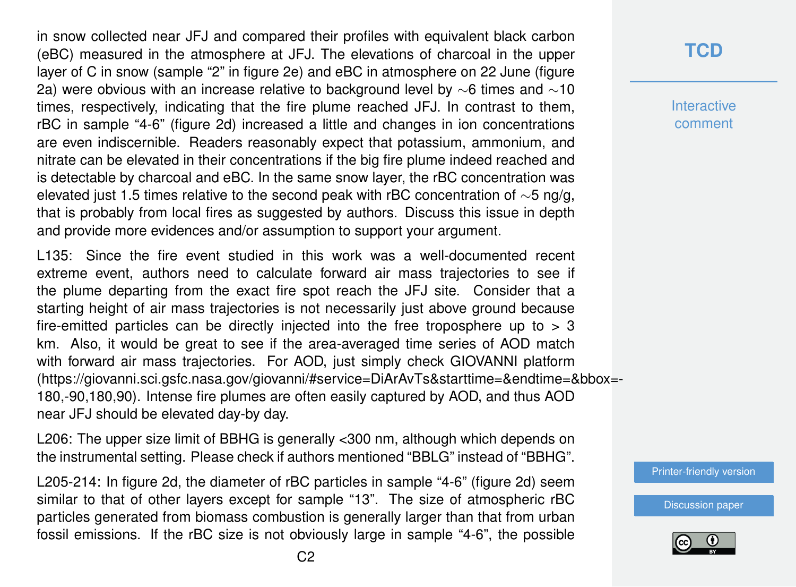in snow collected near JFJ and compared their profiles with equivalent black carbon (eBC) measured in the atmosphere at JFJ. The elevations of charcoal in the upper layer of C in snow (sample "2" in figure 2e) and eBC in atmosphere on 22 June (figure 2a) were obvious with an increase relative to background level by ∼6 times and ∼10 times, respectively, indicating that the fire plume reached JFJ. In contrast to them, rBC in sample "4-6" (figure 2d) increased a little and changes in ion concentrations are even indiscernible. Readers reasonably expect that potassium, ammonium, and nitrate can be elevated in their concentrations if the big fire plume indeed reached and is detectable by charcoal and eBC. In the same snow layer, the rBC concentration was elevated just 1.5 times relative to the second peak with rBC concentration of ∼5 ng/g, that is probably from local fires as suggested by authors. Discuss this issue in depth and provide more evidences and/or assumption to support your argument.

L135: Since the fire event studied in this work was a well-documented recent extreme event, authors need to calculate forward air mass trajectories to see if the plume departing from the exact fire spot reach the JFJ site. Consider that a starting height of air mass trajectories is not necessarily just above ground because fire-emitted particles can be directly injected into the free troposphere up to  $> 3$ km. Also, it would be great to see if the area-averaged time series of AOD match with forward air mass trajectories. For AOD, just simply check GIOVANNI platform (https://giovanni.sci.gsfc.nasa.gov/giovanni/#service=DiArAvTs&starttime=&endtime=&bbox=- 180,-90,180,90). Intense fire plumes are often easily captured by AOD, and thus AOD near JFJ should be elevated day-by day.

L206: The upper size limit of BBHG is generally <300 nm, although which depends on the instrumental setting. Please check if authors mentioned "BBLG" instead of "BBHG".

L205-214: In figure 2d, the diameter of rBC particles in sample "4-6" (figure 2d) seem similar to that of other layers except for sample "13". The size of atmospheric rBC particles generated from biomass combustion is generally larger than that from urban fossil emissions. If the rBC size is not obviously large in sample "4-6", the possible

## **[TCD](https://www.the-cryosphere-discuss.net/)**

**Interactive** comment

[Printer-friendly version](https://www.the-cryosphere-discuss.net/tc-2020-58/tc-2020-58-RC2-print.pdf)

[Discussion paper](https://www.the-cryosphere-discuss.net/tc-2020-58)